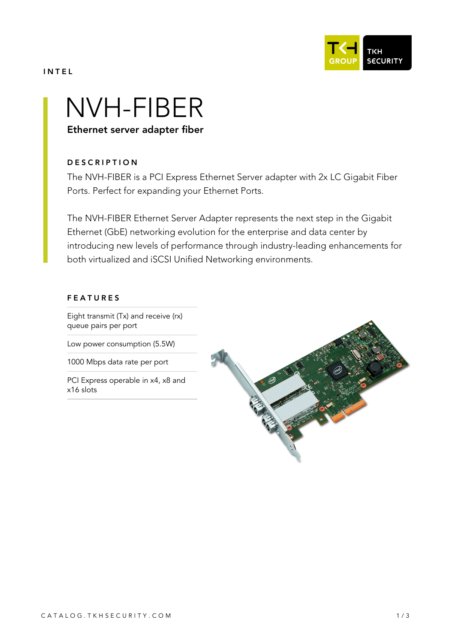

### INTEL

# NVH-FIBER

Ethernet server adapter fiber

# **DESCRIPTION**

The NVH-FIBER is a PCI Express Ethernet Server adapter with 2x LC Gigabit Fiber Ports. Perfect for expanding your Ethernet Ports.

The NVH-FIBER Ethernet Server Adapter represents the next step in the Gigabit Ethernet (GbE) networking evolution for the enterprise and data center by introducing new levels of performance through industry-leading enhancements for both virtualized and iSCSI Unified Networking environments.

### FEATURES

Eight transmit (Tx) and receive (rx) queue pairs per port

Low power consumption (5.5W)

1000 Mbps data rate per port

PCI Express operable in x4, x8 and x16 slots

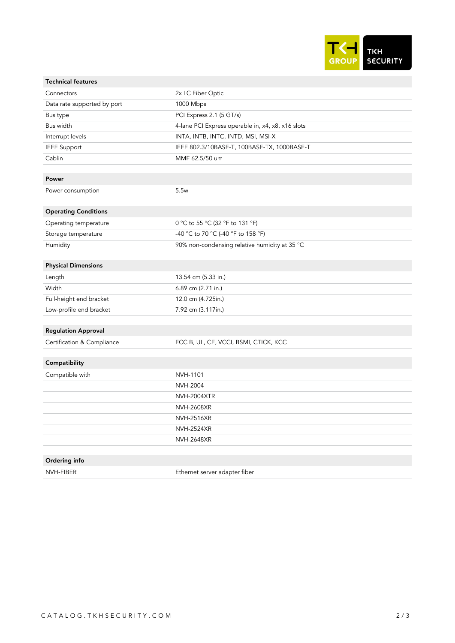

| <b>Technical features</b>   |                                                   |
|-----------------------------|---------------------------------------------------|
| Connectors                  | 2x LC Fiber Optic                                 |
| Data rate supported by port | 1000 Mbps                                         |
| Bus type                    | PCI Express 2.1 (5 GT/s)                          |
| Bus width                   | 4-lane PCI Express operable in, x4, x8, x16 slots |
| Interrupt levels            | INTA, INTB, INTC, INTD, MSI, MSI-X                |
| <b>IEEE Support</b>         | IEEE 802.3/10BASE-T, 100BASE-TX, 1000BASE-T       |
| Cablin                      | MMF 62.5/50 um                                    |
|                             |                                                   |
| Power                       |                                                   |
| Power consumption           | 5.5w                                              |
|                             |                                                   |
| <b>Operating Conditions</b> |                                                   |
| Operating temperature       | 0 °C to 55 °C (32 °F to 131 °F)                   |
| Storage temperature         | -40 °C to 70 °C (-40 °F to 158 °F)                |
| Humidity                    | 90% non-condensing relative humidity at 35 °C     |
|                             |                                                   |
| <b>Physical Dimensions</b>  |                                                   |
| Length                      | 13.54 cm (5.33 in.)                               |
| Width                       | 6.89 cm (2.71 in.)                                |
| Full-height end bracket     | 12.0 cm (4.725in.)                                |
| Low-profile end bracket     | 7.92 cm (3.117in.)                                |
|                             |                                                   |
| <b>Regulation Approval</b>  |                                                   |
| Certification & Compliance  | FCC B, UL, CE, VCCI, BSMI, CTICK, KCC             |
|                             |                                                   |
| Compatibility               |                                                   |
| Compatible with             | NVH-1101                                          |
|                             | <b>NVH-2004</b>                                   |
|                             | <b>NVH-2004XTR</b>                                |
|                             | <b>NVH-2608XR</b>                                 |
|                             | <b>NVH-2516XR</b>                                 |
|                             | <b>NVH-2524XR</b>                                 |
|                             | <b>NVH-2648XR</b>                                 |
|                             |                                                   |
| Ordering info               |                                                   |
| NVH-FIBER                   | Ethernet server adapter fiber                     |